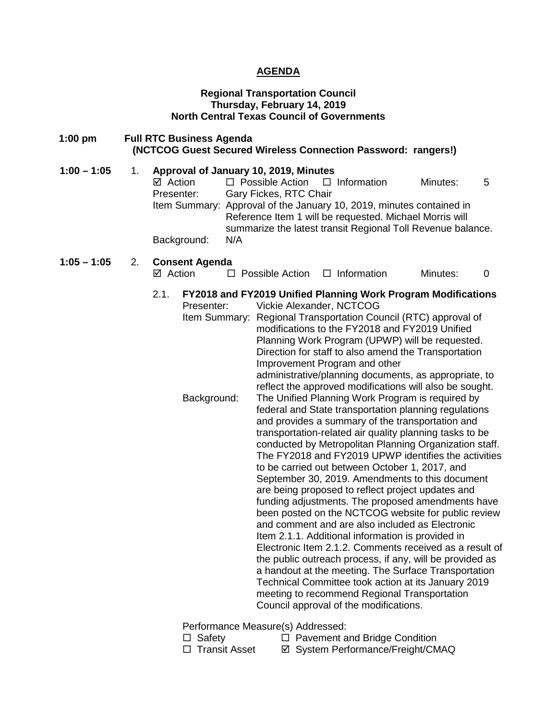### **AGENDA**

#### **Regional Transportation Council Thursday, February 14, 2019 North Central Texas Council of Governments**

- **1:00 pm Full RTC Business Agenda (NCTCOG Guest Secured Wireless Connection Password: rangers!)**
- **1:00 1:05** 1. **Approval of January 10, 2019, Minutes**<br>
⊠ Action □ Possible Action □  $\Box$  Possible Action  $\Box$  Information Minutes: 5 Presenter: Gary Fickes, RTC Chair Item Summary: Approval of the January 10, 2019, minutes contained in Reference Item 1 will be requested. Michael Morris will summarize the latest transit Regional Toll Revenue balance. Background: N/A

# **1:05 – 1:05** 2. **Consent Agenda**

 $\Box$  Possible Action  $\Box$  Information Minutes: 0

# 2.1. **FY2018 and FY2019 Unified Planning Work Program Modifications**

| Presenter:    | Vickie Alexander, NCTCOG                                                                                  |
|---------------|-----------------------------------------------------------------------------------------------------------|
| Item Summary: | Regional Transportation Council (RTC) approval of                                                         |
|               | modifications to the FY2018 and FY2019 Unified                                                            |
|               | Planning Work Program (UPWP) will be requested.                                                           |
|               | Direction for staff to also amend the Transportation                                                      |
|               | Improvement Program and other                                                                             |
|               | administrative/planning documents, as appropriate, to                                                     |
|               | reflect the approved modifications will also be sought.                                                   |
| Background:   | The Unified Planning Work Program is required by                                                          |
|               | federal and State transportation planning regulations<br>and provides a summary of the transportation and |
|               | transportation-related air quality planning tasks to be                                                   |
|               | conducted by Metropolitan Planning Organization staff.                                                    |
|               | The FY2018 and FY2019 UPWP identifies the activities                                                      |
|               | to be carried out between October 1, 2017, and                                                            |
|               | September 30, 2019. Amendments to this document                                                           |
|               | are being proposed to reflect project updates and                                                         |
|               | funding adjustments. The proposed amendments have                                                         |
|               | been posted on the NCTCOG website for public review                                                       |
|               | and comment and are also included as Electronic                                                           |
|               | Item 2.1.1. Additional information is provided in                                                         |
|               | Electronic Item 2.1.2. Comments received as a result of                                                   |
|               | the public outreach process, if any, will be provided as                                                  |
|               | a handout at the meeting. The Surface Transportation                                                      |
|               | Technical Committee took action at its January 2019<br>meeting to recommend Regional Transportation       |
|               | Council approval of the modifications.                                                                    |
|               |                                                                                                           |

Performance Measure(s) Addressed:

- 
- $\Box$  Safety  $\Box$  Pavement and Bridge Condition  $\Box$  Transit Asset  $\Box$  System Performance/Freight/CM **Ø System Performance/Freight/CMAQ**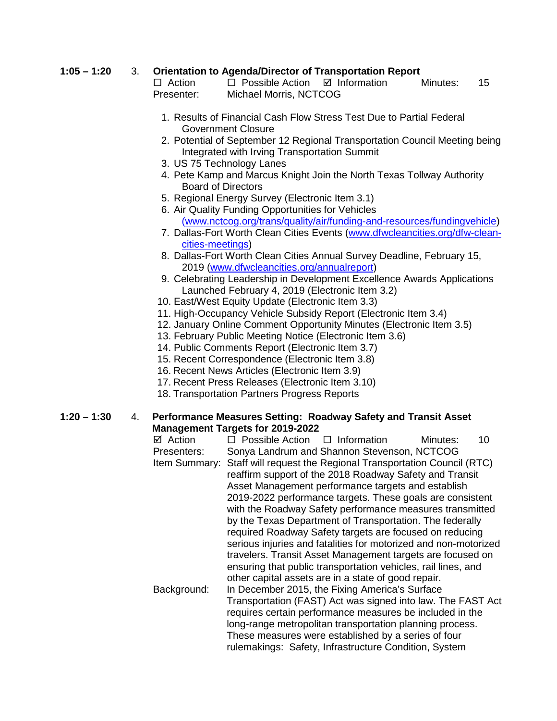# **1:05 – 1:20** 3. **Orientation to Agenda/Director of Transportation Report**

 $\Box$  Action  $\Box$  Possible Action  $\Box$  Information Minutes: 15 Presenter: Michael Morris, NCTCOG

- 1. Results of Financial Cash Flow Stress Test Due to Partial Federal Government Closure
- 2. Potential of September 12 Regional Transportation Council Meeting being Integrated with Irving Transportation Summit
- 3. US 75 Technology Lanes
- 4. Pete Kamp and Marcus Knight Join the North Texas Tollway Authority Board of Directors
- 5. Regional Energy Survey (Electronic Item 3.1)
- 6. Air Quality Funding Opportunities for Vehicles [\(www.nctcog.org/trans/quality/air/funding-and-resources/fundingvehicle\)](http://www.nctcog.org/trans/quality/air/funding-and-resources/fundingvehicle)
- 7. Dallas-Fort Worth Clean Cities Events [\(www.dfwcleancities.org/dfw-clean](http://www.dfwcleancities.org/dfw-clean-cities-meetings)[cities-meetings\)](http://www.dfwcleancities.org/dfw-clean-cities-meetings)
- 8. Dallas-Fort Worth Clean Cities Annual Survey Deadline, February 15, 2019 [\(www.dfwcleancities.org/annualreport\)](http://www.dfwcleancities.org/annualreport)
- 9. Celebrating Leadership in Development Excellence Awards Applications Launched February 4, 2019 (Electronic Item 3.2)
- 10. East/West Equity Update (Electronic Item 3.3)
- 11. High-Occupancy Vehicle Subsidy Report (Electronic Item 3.4)
- 12. January Online Comment Opportunity Minutes (Electronic Item 3.5)
- 13. February Public Meeting Notice (Electronic Item 3.6)
- 14. Public Comments Report (Electronic Item 3.7)
- 15. Recent Correspondence (Electronic Item 3.8)
- 16. Recent News Articles (Electronic Item 3.9)
- 17. Recent Press Releases (Electronic Item 3.10)
- 18. Transportation Partners Progress Reports

**1:20 – 1:30** 4. **Performance Measures Setting: Roadway Safety and Transit Asset Management Targets for 2019-2022**

 $\boxtimes$  Action  $\Box$  Possible Action  $\Box$  Information Minutes: 10 Presenters: Sonya Landrum and Shannon Stevenson, NCTCOG Item Summary: Staff will request the Regional Transportation Council (RTC) reaffirm support of the 2018 Roadway Safety and Transit Asset Management performance targets and establish 2019-2022 performance targets. These goals are consistent with the Roadway Safety performance measures transmitted by the Texas Department of Transportation. The federally required Roadway Safety targets are focused on reducing serious injuries and fatalities for motorized and non-motorized travelers. Transit Asset Management targets are focused on ensuring that public transportation vehicles, rail lines, and other capital assets are in a state of good repair. Background: In December 2015, the Fixing America's Surface Transportation (FAST) Act was signed into law. The FAST Act requires certain performance measures be included in the long-range metropolitan transportation planning process. These measures were established by a series of four

rulemakings: Safety, Infrastructure Condition, System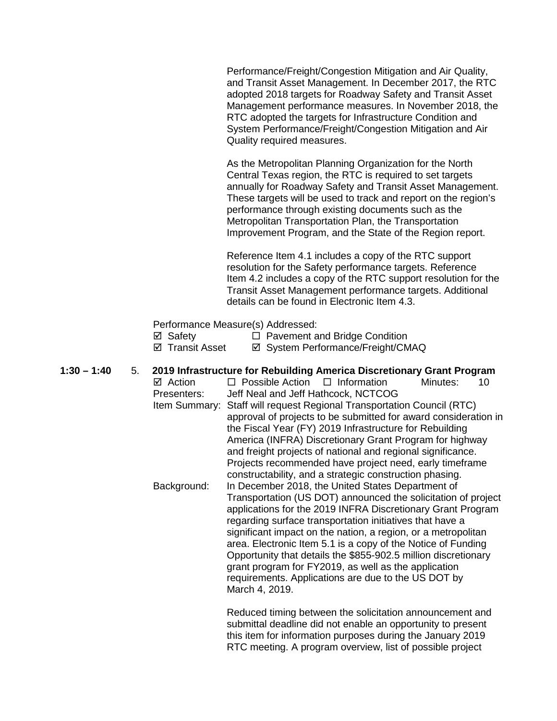Performance/Freight/Congestion Mitigation and Air Quality, and Transit Asset Management. In December 2017, the RTC adopted 2018 targets for Roadway Safety and Transit Asset Management performance measures. In November 2018, the RTC adopted the targets for Infrastructure Condition and System Performance/Freight/Congestion Mitigation and Air Quality required measures.

As the Metropolitan Planning Organization for the North Central Texas region, the RTC is required to set targets annually for Roadway Safety and Transit Asset Management. These targets will be used to track and report on the region's performance through existing documents such as the Metropolitan Transportation Plan, the Transportation Improvement Program, and the State of the Region report.

Reference Item 4.1 includes a copy of the RTC support resolution for the Safety performance targets. Reference Item 4.2 includes a copy of the RTC support resolution for the Transit Asset Management performance targets. Additional details can be found in Electronic Item 4.3.

## Performance Measure(s) Addressed:

| ⊠ Safety        | $\Box$ Pavement and Bridge Condition |
|-----------------|--------------------------------------|
| ☑ Transit Asset | ☑ System Performance/Freight/CMAQ    |

# **1:30 – 1:40** 5. **2019 Infrastructure for Rebuilding America Discretionary Grant Program**   $\Box$  Possible Action  $\Box$  Information Minutes: 10

Presenters: Jeff Neal and Jeff Hathcock, NCTCOG Item Summary: Staff will request Regional Transportation Council (RTC) approval of projects to be submitted for award consideration in the Fiscal Year (FY) 2019 Infrastructure for Rebuilding America (INFRA) Discretionary Grant Program for highway and freight projects of national and regional significance. Projects recommended have project need, early timeframe constructability, and a strategic construction phasing. Background: In December 2018, the United States Department of Transportation (US DOT) announced the solicitation of project applications for the 2019 INFRA Discretionary Grant Program regarding surface transportation initiatives that have a significant impact on the nation, a region, or a metropolitan area. Electronic Item 5.1 is a copy of the Notice of Funding Opportunity that details the \$855-902.5 million discretionary

grant program for FY2019, as well as the application requirements. Applications are due to the US DOT by March 4, 2019.

Reduced timing between the solicitation announcement and submittal deadline did not enable an opportunity to present this item for information purposes during the January 2019 RTC meeting. A program overview, list of possible project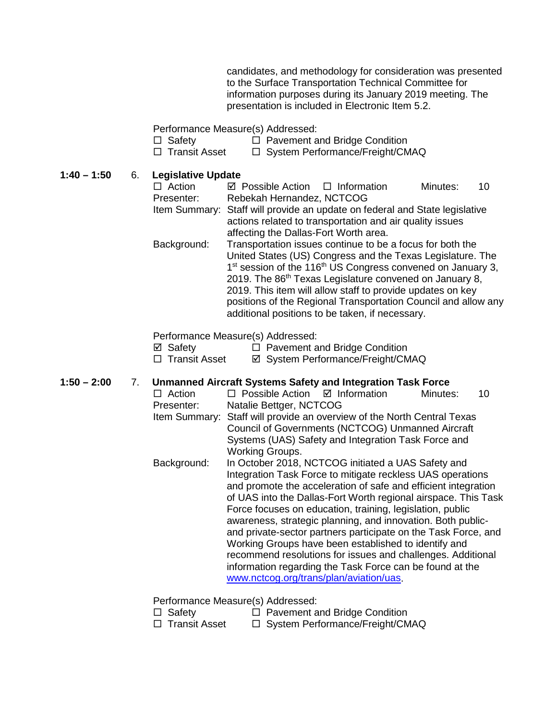candidates, and methodology for consideration was presented to the Surface Transportation Technical Committee for information purposes during its January 2019 meeting. The presentation is included in Electronic Item 5.2.

Performance Measure(s) Addressed:

|     | □ Safety |  |  |  |  | $\Box$ Pavement and Bridge Condition |  |  |  |
|-----|----------|--|--|--|--|--------------------------------------|--|--|--|
| ___ |          |  |  |  |  |                                      |  |  |  |

 $\Box$  Transit Asset  $\Box$  System Performance/Freight/CMAQ

**1:40 – 1:50** 6. **Legislative Update**

| $-9.9$ .0.0 $\bullet$ $\bullet$ $\bullet$ $\bullet$ $\bullet$ |                                                |                                                                                     |          |    |
|---------------------------------------------------------------|------------------------------------------------|-------------------------------------------------------------------------------------|----------|----|
| $\Box$ Action                                                 | $\boxtimes$ Possible Action $\Box$ Information |                                                                                     | Minutes: | 10 |
| Presenter:                                                    | Rebekah Hernandez, NCTCOG                      |                                                                                     |          |    |
|                                                               |                                                | Item Summary: Staff will provide an update on federal and State legislative         |          |    |
|                                                               |                                                | actions related to transportation and air quality issues                            |          |    |
|                                                               | affecting the Dallas-Fort Worth area.          |                                                                                     |          |    |
| Background:                                                   |                                                | Transportation issues continue to be a focus for both the                           |          |    |
|                                                               |                                                | United States (US) Congress and the Texas Legislature. The                          |          |    |
|                                                               |                                                | 1 <sup>st</sup> session of the 116 <sup>th</sup> US Congress convened on January 3, |          |    |
|                                                               |                                                | 2019. The 86 <sup>th</sup> Texas Legislature convened on January 8,                 |          |    |
|                                                               |                                                | 2019. This item will allow staff to provide updates on key                          |          |    |
|                                                               |                                                | positions of the Regional Transportation Council and allow any                      |          |    |
|                                                               |                                                | additional positions to be taken, if necessary.                                     |          |    |
|                                                               |                                                |                                                                                     |          |    |

Performance Measure(s) Addressed:

| ⊠ Safety        | $\Box$ Pavement and Bridge Condition |
|-----------------|--------------------------------------|
| □ Transit Asset | ☑ System Performance/Freight/CMAQ    |

# **1:50 – 2:00** 7. **Unmanned Aircraft Systems Safety and Integration Task Force**

 $\Box$  Action  $\Box$  Possible Action  $\Box$  Information Minutes: 10 Presenter: Natalie Bettger, NCTCOG Item Summary: Staff will provide an overview of the North Central Texas Council of Governments (NCTCOG) Unmanned Aircraft Systems (UAS) Safety and Integration Task Force and Working Groups. Background: In October 2018, NCTCOG initiated a UAS Safety and Integration Task Force to mitigate reckless UAS operations and promote the acceleration of safe and efficient integration of UAS into the Dallas-Fort Worth regional airspace. This Task Force focuses on education, training, legislation, public awareness, strategic planning, and innovation. Both publicand private-sector partners participate on the Task Force, and Working Groups have been established to identify and recommend resolutions for issues and challenges. Additional information regarding the Task Force can be found at the [www.nctcog.org/trans/plan/aviation/uas.](http://www.nctcog.org/trans/plan/aviation/uas)

Performance Measure(s) Addressed:

| $\Box$ Safety        | $\Box$ Pavement and Bridge Condition            |
|----------------------|-------------------------------------------------|
| $\Box$ Troppit Appot | $\Box$ System Derformance $\Box$ Erejaht $\Box$ |

 $\Box$  Transit Asset  $\Box$  System Performance/Freight/CMAQ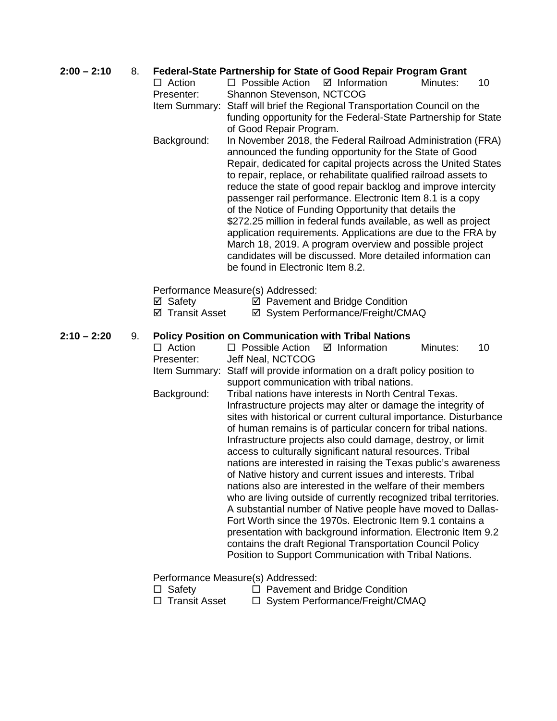## **2:00 – 2:10** 8. **Federal-State Partnership for State of Good Repair Program Grant**

 $\Box$  Action  $\Box$  Possible Action  $\Box$  Information Minutes: 10 Presenter: Shannon Stevenson, NCTCOG Item Summary: Staff will brief the Regional Transportation Council on the

funding opportunity for the Federal-State Partnership for State of Good Repair Program.

Background: In November 2018, the Federal Railroad Administration (FRA) announced the funding opportunity for the State of Good Repair, dedicated for capital projects across the United States to repair, replace, or rehabilitate qualified railroad assets to reduce the state of good repair backlog and improve intercity passenger rail performance. Electronic Item 8.1 is a copy of the Notice of Funding Opportunity that details the \$272.25 million in federal funds available, as well as project application requirements. Applications are due to the FRA by March 18, 2019. A program overview and possible project candidates will be discussed. More detailed information can be found in Electronic Item 8.2.

Performance Measure(s) Addressed:

- 
- <p>✓ Safety</p>\n<p>✓ Payment and Bridge Condition</p>\n<p>✓ Transform</p>\n<p>✓ System Performance/Freight/CN</p> **Ø System Performance/Freight/CMAQ**

## **2:10 – 2:20** 9. **Policy Position on Communication with Tribal Nations**

 $\Box$  Action  $\Box$  Possible Action  $\Box$  Information Minutes: 10 Presenter: Jeff Neal, NCTCOG Item Summary: Staff will provide information on a draft policy position to support communication with tribal nations. Background: Tribal nations have interests in North Central Texas. Infrastructure projects may alter or damage the integrity of sites with historical or current cultural importance. Disturbance of human remains is of particular concern for tribal nations. Infrastructure projects also could damage, destroy, or limit access to culturally significant natural resources. Tribal nations are interested in raising the Texas public's awareness of Native history and current issues and interests. Tribal nations also are interested in the welfare of their members who are living outside of currently recognized tribal territories. A substantial number of Native people have moved to Dallas-Fort Worth since the 1970s. Electronic Item 9.1 contains a presentation with background information. Electronic Item 9.2 contains the draft Regional Transportation Council Policy Position to Support Communication with Tribal Nations.

Performance Measure(s) Addressed:

- $\Box$  Safety  $\Box$  Pavement and Bridge Condition
- 
- $\Box$  Transit Asset  $\Box$  System Performance/Freight/CMAQ